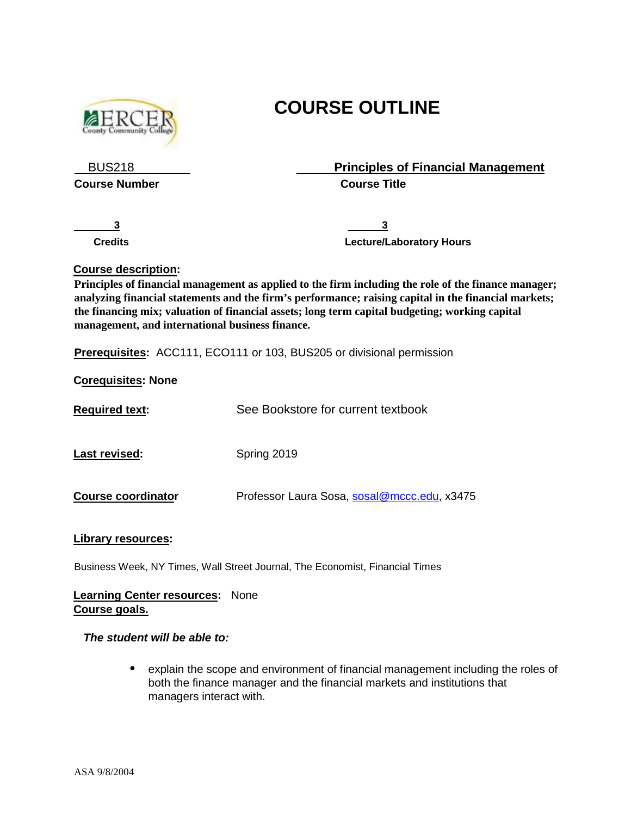

# **COURSE OUTLINE**

 BUS218 **Principles of Financial Management Course Number Course Title** 

<u>**3** 3</u>

**Credits Credits Credits Credits Credits Credits Credits Credits Credits Credits Credits Credits Credits Credits Credits Credits Credits Credits Credits Credits Credits Credits C** 

# **Course description:**

**Principles of financial management as applied to the firm including the role of the finance manager; analyzing financial statements and the firm's performance; raising capital in the financial markets; the financing mix; valuation of financial assets; long term capital budgeting; working capital management, and international business finance.** 

**Prerequisites:** ACC111, ECO111 or 103, BUS205 or divisional permission

**Corequisites: None**

| <b>Required text:</b>     | See Bookstore for current textbook          |
|---------------------------|---------------------------------------------|
| Last revised:             | Spring 2019                                 |
| <b>Course coordinator</b> | Professor Laura Sosa, sosal@mccc.edu, x3475 |

# **Library resources:**

Business Week, NY Times, Wall Street Journal, The Economist, Financial Times

# **Learning Center resources:** None **Course goals.**

### *The student will be able to:*

 $\bullet$ explain the scope and environment of financial management including the roles of both the finance manager and the financial markets and institutions that managers interact with.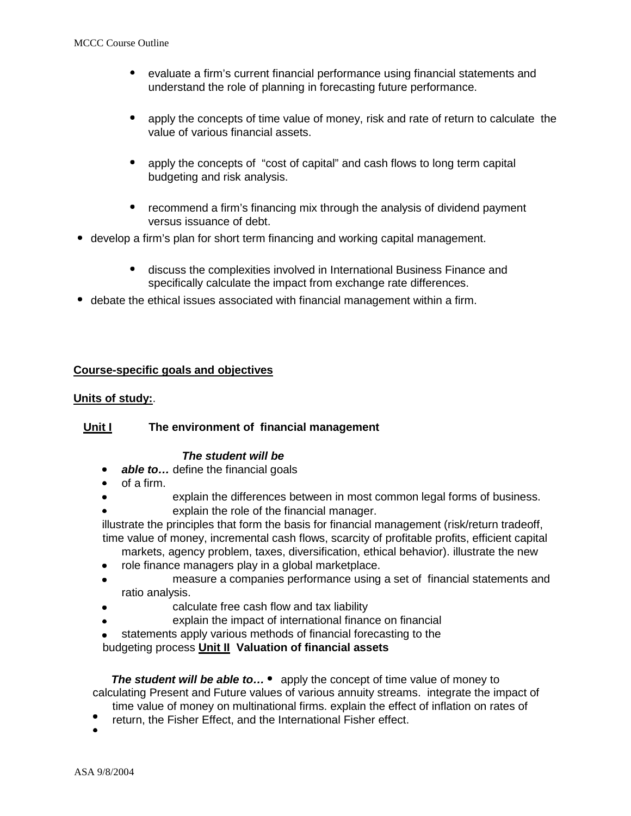- $\bullet$ evaluate a firm's current financial performance using financial statements and understand the role of planning in forecasting future performance.
- $\bullet$ apply the concepts of time value of money, risk and rate of return to calculate the value of various financial assets.
- $\bullet$ apply the concepts of "cost of capital" and cash flows to long term capital budgeting and risk analysis.
- recommend a firm's financing mix through the analysis of dividend payment versus issuance of debt.
- develop a firm's plan for short term financing and working capital management.
	- $\bullet$ discuss the complexities involved in International Business Finance and specifically calculate the impact from exchange rate differences.
- debate the ethical issues associated with financial management within a firm.

# **Course-specific goals and objectives**

# **Units of study:**.

# **Unit I The environment of financial management**

### *The student will be*

- *able to…* define the financial goals
- of a firm.
- explain the differences between in most common legal forms of business. explain the role of the financial manager.
- illustrate the principles that form the basis for financial management (risk/return tradeoff, time value of money, incremental cash flows, scarcity of profitable profits, efficient capital markets, agency problem, taxes, diversification, ethical behavior). illustrate the new
- role finance managers play in a global marketplace.
- measure a companies performance using a set of financial statements and
- ratio analysis.
- calculate free cash flow and tax liability
- explain the impact of international finance on financial
- statements apply various methods of financial forecasting to the

budgeting process **Unit II Valuation of financial assets** 

**The student will be able to...** • apply the concept of time value of money to calculating Present and Future values of various annuity streams. integrate the impact of time value of money on multinational firms. explain the effect of inflation on rates of

- return, the Fisher Effect, and the International Fisher effect.
-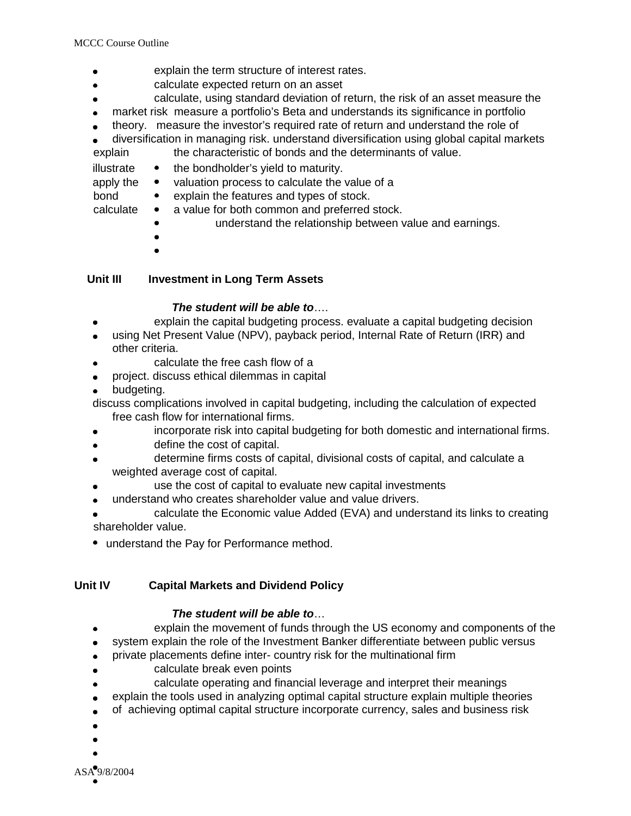- explain the term structure of interest rates.  $\bullet$
- calculate expected return on an asset  $\bullet$
- calculate, using standard deviation of return, the risk of an asset measure the
- market risk measure a portfolio's Beta and understands its significance in portfolio  $\bullet$
- theory. measure the investor's required rate of return and understand the role of
- diversification in managing risk. understand diversification using global capital markets  $\bullet$ explain the characteristic of bonds and the determinants of value.
- illustrate  $\bullet$  the bondholder's yield to maturity.

apply the • valuation process to calculate the value of a

bond • explain the features and types of stock.

- calculate a value for both common and preferred stock.
	- understand the relationship between value and earnings.
	-
	-

# **Unit III Investment in Long Term Assets**

# *The student will be able to*….

- explain the capital budgeting process. evaluate a capital budgeting decision  $\bullet$
- using Net Present Value (NPV), payback period, Internal Rate of Return (IRR) and  $\bullet$ other criteria.
- calculate the free cash flow of a
- project. discuss ethical dilemmas in capital  $\bullet$
- budgeting.  $\bullet$
- discuss complications involved in capital budgeting, including the calculation of expected free cash flow for international firms.
- incorporate risk into capital budgeting for both domestic and international firms.  $\bullet$
- define the cost of capital.  $\bullet$
- determine firms costs of capital, divisional costs of capital, and calculate a weighted average cost of capital.
- use the cost of capital to evaluate new capital investments
- understand who creates shareholder value and value drivers.  $\bullet$
- calculate the Economic value Added (EVA) and understand its links to creating shareholder value.
- understand the Pay for Performance method.

# **Unit IV Capital Markets and Dividend Policy**

# *The student will be able to*…

- explain the movement of funds through the US economy and components of the
- system explain the role of the Investment Banker differentiate between public versus
- private placements define inter- country risk for the multinational firm  $\bullet$
- calculate break even points
- calculate operating and financial leverage and interpret their meanings  $\bullet$
- explain the tools used in analyzing optimal capital structure explain multiple theories  $\bullet$
- of achieving optimal capital structure incorporate currency, sales and business risk  $\bullet$
- 
- 
-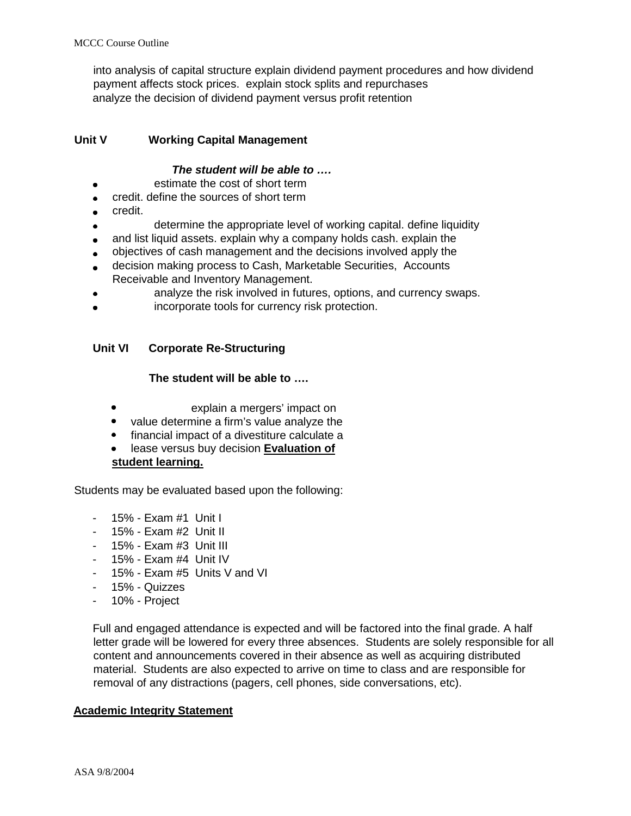into analysis of capital structure explain dividend payment procedures and how dividend payment affects stock prices. explain stock splits and repurchases analyze the decision of dividend payment versus profit retention

# **Unit V Working Capital Management**

# *The student will be able to ….*

- estimate the cost of short term  $\bullet$
- credit. define the sources of short term
- credit.
- determine the appropriate level of working capital. define liquidity
- and list liquid assets. explain why a company holds cash. explain the
- objectives of cash management and the decisions involved apply the  $\bullet$
- decision making process to Cash, Marketable Securities, Accounts
- Receivable and Inventory Management.
- analyze the risk involved in futures, options, and currency swaps.
- incorporate tools for currency risk protection.

# **Unit VI Corporate Re-Structuring**

### **The student will be able to ….**

- explain a mergers' impact on
- value determine a firm's value analyze the
- financial impact of a divestiture calculate a
- lease versus buy decision **Evaluation of student learning.**

Students may be evaluated based upon the following:

- 15% Exam #1 Unit I
- 15% Exam #2 Unit II
- 15% Exam #3 Unit III
- 15% Exam #4 Unit IV
- $-15% Exam #5$  Units V and VI
- 15% Quizzes
- 10% Project

Full and engaged attendance is expected and will be factored into the final grade. A half letter grade will be lowered for every three absences. Students are solely responsible for all content and announcements covered in their absence as well as acquiring distributed material. Students are also expected to arrive on time to class and are responsible for removal of any distractions (pagers, cell phones, side conversations, etc).

### **Academic Integrity Statement**